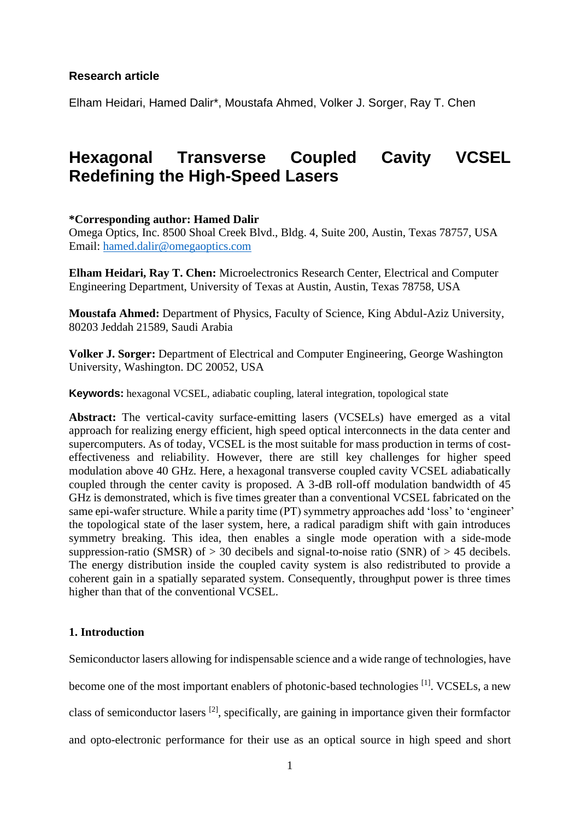## **Research article**

Elham Heidari, Hamed Dalir\*, Moustafa Ahmed, Volker J. Sorger, Ray T. Chen

# **Hexagonal Transverse Coupled Cavity VCSEL Redefining the High-Speed Lasers**

## **\*Corresponding author: Hamed Dalir**

Omega Optics, Inc. 8500 Shoal Creek Blvd., Bldg. 4, Suite 200, Austin, Texas 78757, USA Email: [hamed.dalir@omegaoptics.com](mailto:hamed.dalir@omegaoptics.com)

**Elham Heidari, Ray T. Chen:** Microelectronics Research Center, Electrical and Computer Engineering Department, University of Texas at Austin, Austin, Texas 78758, USA

**Moustafa Ahmed:** Department of Physics, Faculty of Science, King Abdul-Aziz University, 80203 Jeddah 21589, Saudi Arabia

**Volker J. Sorger:** Department of Electrical and Computer Engineering, George Washington University, Washington. DC 20052, USA

**Keywords:** hexagonal VCSEL, adiabatic coupling, lateral integration, topological state

**Abstract:** The vertical-cavity surface-emitting lasers (VCSELs) have emerged as a vital approach for realizing energy efficient, high speed optical interconnects in the data center and supercomputers. As of today, VCSEL is the most suitable for mass production in terms of costeffectiveness and reliability. However, there are still key challenges for higher speed modulation above 40 GHz. Here, a hexagonal transverse coupled cavity VCSEL adiabatically coupled through the center cavity is proposed. A 3-dB roll-off modulation bandwidth of 45 GHz is demonstrated, which is five times greater than a conventional VCSEL fabricated on the same epi-wafer structure. While a parity time (PT) symmetry approaches add 'loss' to 'engineer' the topological state of the laser system, here, a radical paradigm shift with gain introduces symmetry breaking. This idea, then enables a single mode operation with a side-mode suppression-ratio (SMSR) of  $> 30$  decibels and signal-to-noise ratio (SNR) of  $> 45$  decibels. The energy distribution inside the coupled cavity system is also redistributed to provide a coherent gain in a spatially separated system. Consequently, throughput power is three times higher than that of the conventional VCSEL.

### **1. Introduction**

Semiconductor lasers allowing for indispensable science and a wide range of technologies, have become one of the most important enablers of photonic-based technologies <sup>[1]</sup>. VCSELs, a new class of semiconductor lasers  $^{[2]}$ , specifically, are gaining in importance given their formfactor and opto-electronic performance for their use as an optical source in high speed and short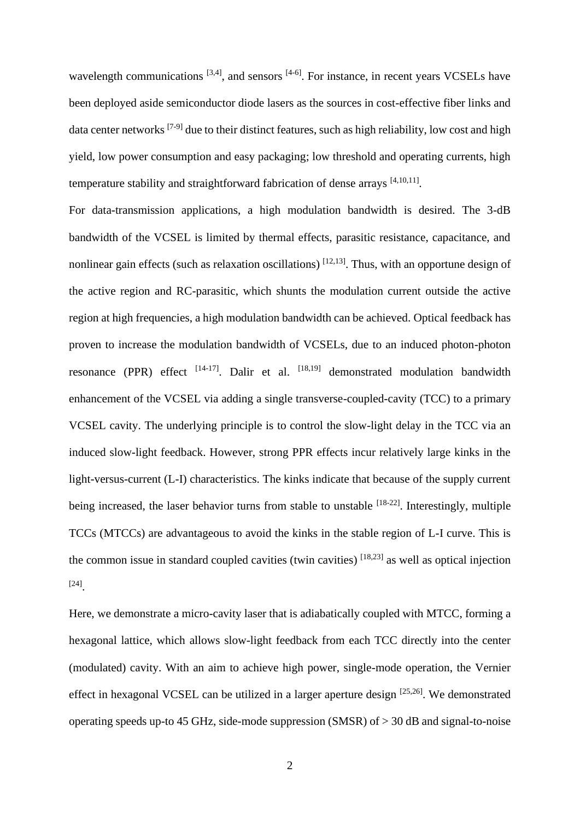wavelength communications  $[3,4]$ , and sensors  $[4-6]$ . For instance, in recent years VCSELs have been deployed aside semiconductor diode lasers as the sources in cost-effective fiber links and data center networks  $[7-9]$  due to their distinct features, such as high reliability, low cost and high yield, low power consumption and easy packaging; low threshold and operating currents, high temperature stability and straightforward fabrication of dense arrays [4,10,11].

For data-transmission applications, a high modulation bandwidth is desired. The 3-dB bandwidth of the VCSEL is limited by thermal effects, parasitic resistance, capacitance, and nonlinear gain effects (such as relaxation oscillations)  $[12,13]$ . Thus, with an opportune design of the active region and RC-parasitic, which shunts the modulation current outside the active region at high frequencies, a high modulation bandwidth can be achieved. Optical feedback has proven to increase the modulation bandwidth of VCSELs, due to an induced photon-photon resonance (PPR) effect [14-17]. Dalir et al. [18,19] demonstrated modulation bandwidth enhancement of the VCSEL via adding a single transverse-coupled-cavity (TCC) to a primary VCSEL cavity. The underlying principle is to control the slow-light delay in the TCC via an induced slow-light feedback. However, strong PPR effects incur relatively large kinks in the light-versus-current (L-I) characteristics. The kinks indicate that because of the supply current being increased, the laser behavior turns from stable to unstable <sup>[18-22]</sup>. Interestingly, multiple TCCs (MTCCs) are advantageous to avoid the kinks in the stable region of L-I curve. This is the common issue in standard coupled cavities (twin cavities)  $[18,23]$  as well as optical injection [24] .

Here, we demonstrate a micro-cavity laser that is adiabatically coupled with MTCC, forming a hexagonal lattice, which allows slow-light feedback from each TCC directly into the center (modulated) cavity. With an aim to achieve high power, single-mode operation, the Vernier effect in hexagonal VCSEL can be utilized in a larger aperture design  $[25,26]$ . We demonstrated operating speeds up-to 45 GHz, side-mode suppression (SMSR) of  $>$  30 dB and signal-to-noise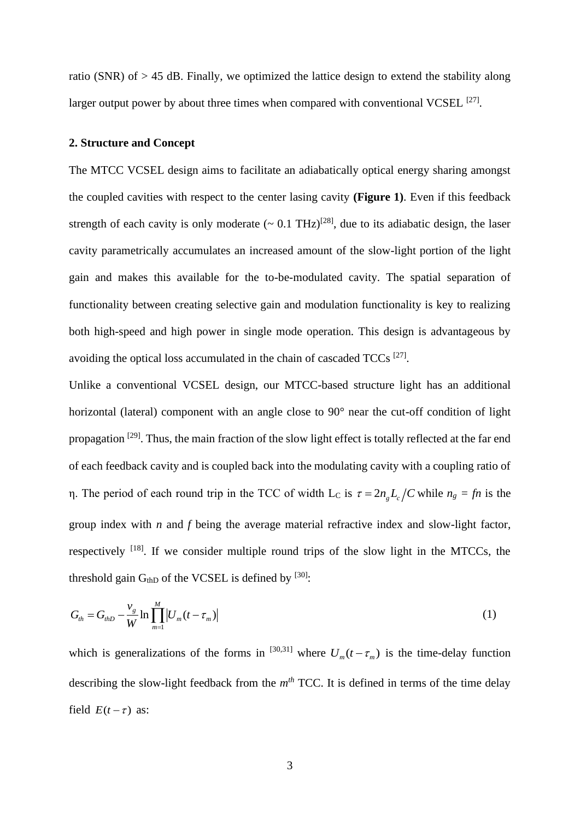ratio (SNR) of > 45 dB. Finally, we optimized the lattice design to extend the stability along larger output power by about three times when compared with conventional VCSEL <sup>[27]</sup>.

#### **2. Structure and Concept**

The MTCC VCSEL design aims to facilitate an adiabatically optical energy sharing amongst the coupled cavities with respect to the center lasing cavity **(Figure 1)**. Even if this feedback strength of each cavity is only moderate  $(-0.1 \text{ THz})^{[28]}$ , due to its adiabatic design, the laser cavity parametrically accumulates an increased amount of the slow-light portion of the light gain and makes this available for the to-be-modulated cavity. The spatial separation of functionality between creating selective gain and modulation functionality is key to realizing both high-speed and high power in single mode operation. This design is advantageous by avoiding the optical loss accumulated in the chain of cascaded TCCs<sup>[27]</sup>.

Unlike a conventional VCSEL design, our MTCC-based structure light has an additional horizontal (lateral) component with an angle close to 90° near the cut-off condition of light propagation <sup>[29]</sup>. Thus, the main fraction of the slow light effect is totally reflected at the far end of each feedback cavity and is coupled back into the modulating cavity with a coupling ratio of η. The period of each round trip in the TCC of width L<sub>C</sub> is  $\tau = 2n_g L_c/C$  while  $n_g = fn$  is the group index with *n* and *f* being the average material refractive index and slow-light factor, respectively  $^{[18]}$ . If we consider multiple round trips of the slow light in the MTCCs, the threshold gain  $G<sub>thD</sub>$  of the VCSEL is defined by  $[30]$ :

$$
G_{th} = G_{thD} - \frac{v_g}{W} \ln \prod_{m=1}^{M} \left| U_m(t - \tau_m) \right| \tag{1}
$$

which is generalizations of the forms in <sup>[30,31]</sup> where  $U_m(t-\tau_m)$  is the time-delay function describing the slow-light feedback from the  $m<sup>th</sup>$  TCC. It is defined in terms of the time delay field  $E(t-\tau)$  as: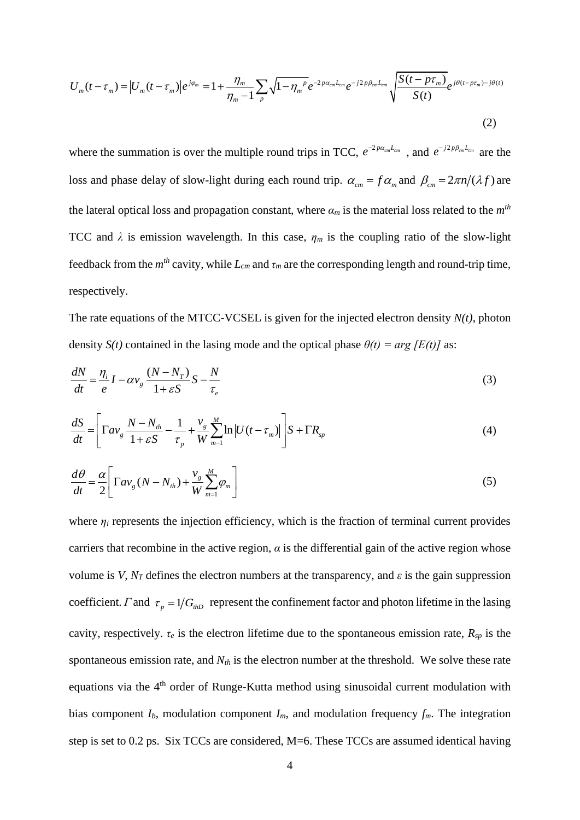$$
U_{m}(t-\tau_{m}) = \left| U_{m}(t-\tau_{m}) \right| e^{j\varphi_{m}} = 1 + \frac{\eta_{m}}{\eta_{m}-1} \sum_{p} \sqrt{1-\eta_{m}^{p}} e^{-2p\alpha_{cm}L_{cm}} e^{-j2p\beta_{cm}L_{cm}} \sqrt{\frac{S(t-p\tau_{m})}{S(t)}} e^{j\theta(t-p\tau_{m})-j\theta(t)}
$$
\n(2)

where the summation is over the multiple round trips in TCC,  $e^{-2p\alpha_{cm}L_{cm}}$ , and  $e^{-j2p\beta_{cm}L_{cm}}$  are the loss and phase delay of slow-light during each round trip.  $\alpha_{cm} = f \alpha_m$  and  $\beta_{cm} = 2\pi n/(\lambda f)$  are the lateral optical loss and propagation constant, where  $\alpha_m$  is the material loss related to the  $m^{th}$ TCC and  $\lambda$  is emission wavelength. In this case,  $\eta_m$  is the coupling ratio of the slow-light feedback from the  $m<sup>th</sup>$  cavity, while  $L<sub>cm</sub>$  and  $\tau<sub>m</sub>$  are the corresponding length and round-trip time, respectively.

The rate equations of the MTCC-VCSEL is given for the injected electron density *N(t)*, photon density *S(t)* contained in the lasing mode and the optical phase  $\theta(t) = arg/E(t)$  as:

$$
\frac{dN}{dt} = \frac{\eta_i}{e} I - \alpha v_g \frac{(N - N_T)}{1 + \varepsilon S} S - \frac{N}{\tau_e}
$$
\n(3)

$$
\frac{dS}{dt} = \left[ \Gamma a v_g \frac{N - N_m}{1 + \varepsilon S} - \frac{1}{\tau_p} + \frac{v_g}{W} \sum_{m=1}^{M} \ln |U(t - \tau_m)| \right] S + \Gamma R_{sp}
$$
(4)

$$
\frac{d\theta}{dt} = \frac{\alpha}{2} \left[ \Gamma a v_g (N - N_{th}) + \frac{v_g}{W} \sum_{m=1}^{M} \varphi_m \right]
$$
(5)

where  $\eta_i$  represents the injection efficiency, which is the fraction of terminal current provides carriers that recombine in the active region,  $\alpha$  is the differential gain of the active region whose volume is *V*,  $N_T$  defines the electron numbers at the transparency, and  $\varepsilon$  is the gain suppression coefficient. *Γ* and  $\tau_p = 1/G_{hD}$  represent the confinement factor and photon lifetime in the lasing cavity, respectively.  $\tau_e$  is the electron lifetime due to the spontaneous emission rate,  $R_{sp}$  is the spontaneous emission rate, and *Nth* is the electron number at the threshold. We solve these rate equations via the 4th order of Runge-Kutta method using sinusoidal current modulation with bias component  $I_b$ , modulation component  $I_m$ , and modulation frequency  $f_m$ . The integration step is set to 0.2 ps. Six TCCs are considered, M=6. These TCCs are assumed identical having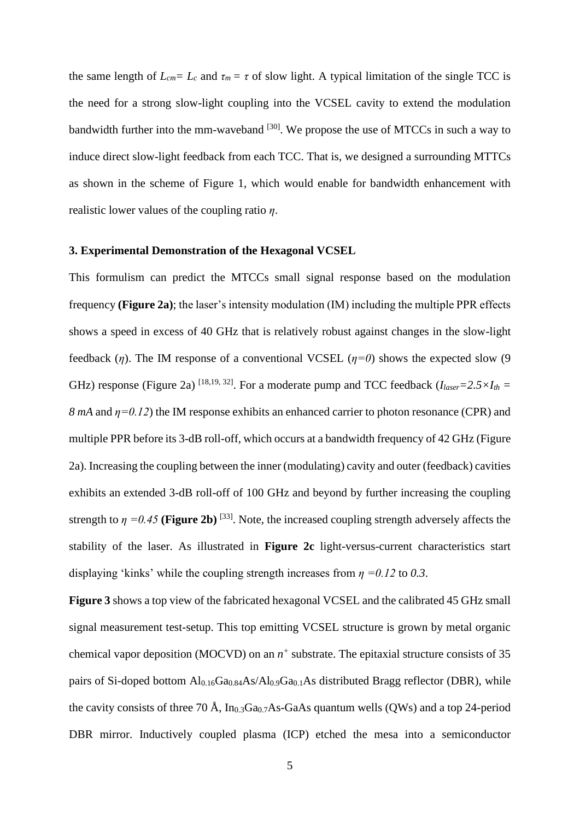the same length of  $L_{cm} = L_c$  and  $\tau_m = \tau$  of slow light. A typical limitation of the single TCC is the need for a strong slow-light coupling into the VCSEL cavity to extend the modulation bandwidth further into the mm-waveband <sup>[30]</sup>. We propose the use of MTCCs in such a way to induce direct slow-light feedback from each TCC. That is, we designed a surrounding MTTCs as shown in the scheme of Figure 1, which would enable for bandwidth enhancement with realistic lower values of the coupling ratio *η*.

## **3. Experimental Demonstration of the Hexagonal VCSEL**

This formulism can predict the MTCCs small signal response based on the modulation frequency **(Figure 2a)**; the laser's intensity modulation (IM) including the multiple PPR effects shows a speed in excess of 40 GHz that is relatively robust against changes in the slow-light feedback (*η*). The IM response of a conventional VCSEL ( $n=0$ ) shows the expected slow (9) GHz) response (Figure 2a) <sup>[18,19, 32]</sup>. For a moderate pump and TCC feedback ( $I_{laser}=2.5\times I_{th}=$ *8 mA* and  $\eta = 0.12$ ) the IM response exhibits an enhanced carrier to photon resonance (CPR) and multiple PPR before its 3-dB roll-off, which occurs at a bandwidth frequency of 42 GHz (Figure 2a). Increasing the coupling between the inner (modulating) cavity and outer (feedback) cavities exhibits an extended 3-dB roll-off of 100 GHz and beyond by further increasing the coupling strength to  $\eta = 0.45$  (Figure 2b)<sup>[33]</sup>. Note, the increased coupling strength adversely affects the stability of the laser. As illustrated in **Figure 2c** light-versus-current characteristics start displaying 'kinks' while the coupling strength increases from *η =0.12* to *0.3*.

**Figure 3** shows a top view of the fabricated hexagonal VCSEL and the calibrated 45 GHz small signal measurement test-setup. This top emitting VCSEL structure is grown by metal organic chemical vapor deposition (MOCVD) on an *n +* substrate. The epitaxial structure consists of 35 pairs of Si-doped bottom Al<sub>0.16</sub>Ga<sub>0.84</sub>As/Al<sub>0.9</sub>Ga<sub>0.1</sub>As distributed Bragg reflector (DBR), while the cavity consists of three 70 Å,  $In<sub>0.3</sub>Ga<sub>0.7</sub>As-GaAs quantum wells (QWs)$  and a top 24-period DBR mirror. Inductively coupled plasma (ICP) etched the mesa into a semiconductor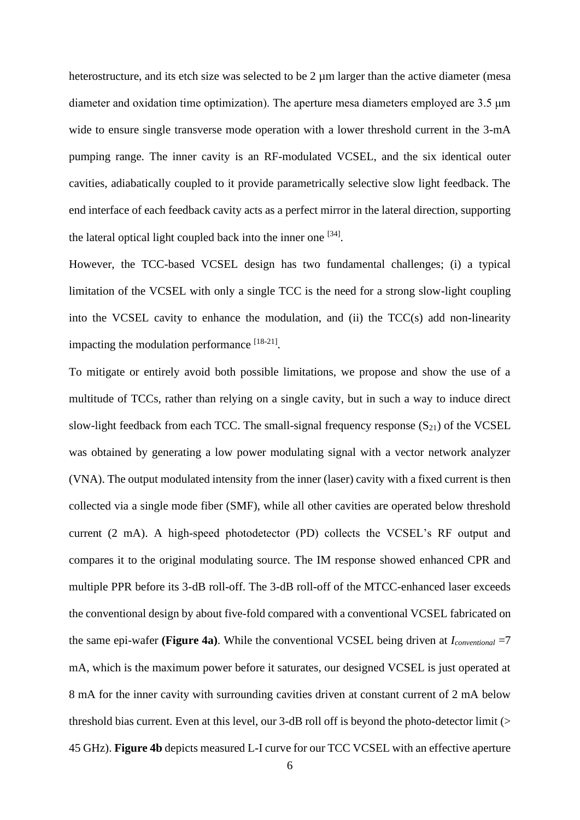heterostructure, and its etch size was selected to be 2  $\mu$ m larger than the active diameter (mesa diameter and oxidation time optimization). The aperture mesa diameters employed are 3.5 μm wide to ensure single transverse mode operation with a lower threshold current in the 3-mA pumping range. The inner cavity is an RF-modulated VCSEL, and the six identical outer cavities, adiabatically coupled to it provide parametrically selective slow light feedback. The end interface of each feedback cavity acts as a perfect mirror in the lateral direction, supporting the lateral optical light coupled back into the inner one  $[34]$ .

However, the TCC-based VCSEL design has two fundamental challenges; (i) a typical limitation of the VCSEL with only a single TCC is the need for a strong slow-light coupling into the VCSEL cavity to enhance the modulation, and (ii) the  $TCC(s)$  add non-linearity impacting the modulation performance  $[18-21]$ .

To mitigate or entirely avoid both possible limitations, we propose and show the use of a multitude of TCCs, rather than relying on a single cavity, but in such a way to induce direct slow-light feedback from each TCC. The small-signal frequency response  $(S_{21})$  of the VCSEL was obtained by generating a low power modulating signal with a vector network analyzer (VNA). The output modulated intensity from the inner (laser) cavity with a fixed current is then collected via a single mode fiber (SMF), while all other cavities are operated below threshold current (2 mA). A high-speed photodetector (PD) collects the VCSEL's RF output and compares it to the original modulating source. The IM response showed enhanced CPR and multiple PPR before its 3-dB roll-off. The 3-dB roll-off of the MTCC-enhanced laser exceeds the conventional design by about five-fold compared with a conventional VCSEL fabricated on the same epi-wafer **(Figure 4a)**. While the conventional VCSEL being driven at *Iconventional* =7 mA, which is the maximum power before it saturates, our designed VCSEL is just operated at 8 mA for the inner cavity with surrounding cavities driven at constant current of 2 mA below threshold bias current. Even at this level, our 3-dB roll off is beyond the photo-detector limit (> 45 GHz). **Figure 4b** depicts measured L-I curve for our TCC VCSEL with an effective aperture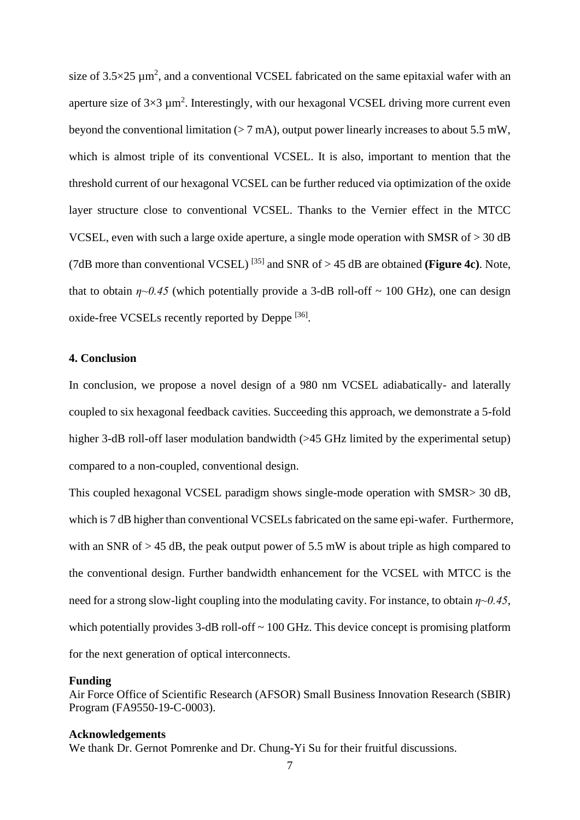size of  $3.5 \times 25 \mu m^2$ , and a conventional VCSEL fabricated on the same epitaxial wafer with an aperture size of  $3\times3 \mu m^2$ . Interestingly, with our hexagonal VCSEL driving more current even beyond the conventional limitation  $(> 7 \text{ mA})$ , output power linearly increases to about 5.5 mW, which is almost triple of its conventional VCSEL. It is also, important to mention that the threshold current of our hexagonal VCSEL can be further reduced via optimization of the oxide layer structure close to conventional VCSEL. Thanks to the Vernier effect in the MTCC VCSEL, even with such a large oxide aperture, a single mode operation with SMSR of > 30 dB (7dB more than conventional VCSEL)  $^{[35]}$  and SNR of > 45 dB are obtained **(Figure 4c)**. Note, that to obtain  $\eta \sim 0.45$  (which potentially provide a 3-dB roll-off  $\sim 100$  GHz), one can design oxide-free VCSELs recently reported by Deppe <sup>[36]</sup>.

## **4. Conclusion**

In conclusion, we propose a novel design of a 980 nm VCSEL adiabatically- and laterally coupled to six hexagonal feedback cavities. Succeeding this approach, we demonstrate a 5-fold higher 3-dB roll-off laser modulation bandwidth (>45 GHz limited by the experimental setup) compared to a non-coupled, conventional design.

This coupled hexagonal VCSEL paradigm shows single-mode operation with SMSR> 30 dB, which is 7 dB higher than conventional VCSELs fabricated on the same epi-wafer. Furthermore, with an SNR of  $> 45$  dB, the peak output power of 5.5 mW is about triple as high compared to the conventional design. Further bandwidth enhancement for the VCSEL with MTCC is the need for a strong slow-light coupling into the modulating cavity. For instance, to obtain *η~0.45*, which potentially provides  $3$ -dB roll-off  $\sim 100$  GHz. This device concept is promising platform for the next generation of optical interconnects.

#### **Funding**

Air Force Office of Scientific Research (AFSOR) Small Business Innovation Research (SBIR) Program (FA9550-19-C-0003).

#### **Acknowledgements**

We thank Dr. Gernot Pomrenke and Dr. Chung-Yi Su for their fruitful discussions.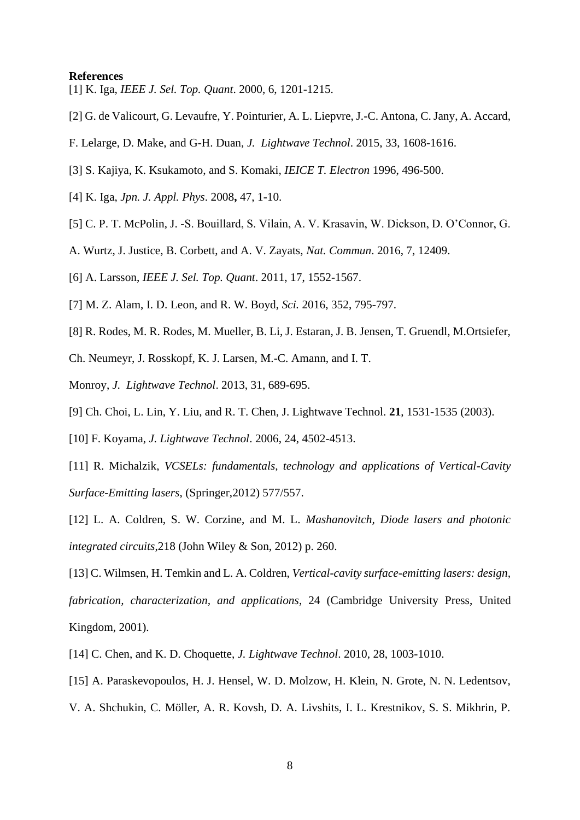#### **References**

[1] K. Iga, *IEEE J. Sel. Top. Quant*. 2000, 6, 1201-1215.

- [2] G. de Valicourt, G. Levaufre, Y. Pointurier, A. L. Liepvre, J.-C. Antona, C. Jany, A. Accard,
- F. Lelarge, D. Make, and G-H. Duan, *J. Lightwave Technol*. 2015, 33, 1608-1616.
- [3] S. Kajiya, K. Ksukamoto, and S. Komaki, *IEICE T. Electron* 1996, 496-500.
- [4] K. Iga, *Jpn. J. Appl. Phys*. 2008**,** 47, 1-10.
- [5] C. P. T. McPolin, J. -S. Bouillard, S. Vilain, A. V. Krasavin, W. Dickson, D. O'Connor, G.
- A. Wurtz, J. Justice, B. Corbett, and A. V. Zayats, *Nat. Commun*. 2016, 7, 12409.
- [6] A. Larsson, *IEEE J. Sel. Top. Quant*. 2011, 17, 1552-1567.
- [7] M. Z. Alam, I. D. Leon, and R. W. Boyd, *Sci.* 2016, 352, 795-797.
- [8] R. Rodes, M. R. Rodes, M. Mueller, B. Li, J. Estaran, J. B. Jensen, T. Gruendl, M.Ortsiefer,
- Ch. Neumeyr, J. Rosskopf, K. J. Larsen, M.-C. Amann, and I. T.
- Monroy, *J. Lightwave Technol*. 2013, 31, 689-695.
- [9] Ch. Choi, L. Lin, Y. Liu, and R. T. Chen, J. Lightwave Technol. **21**, 1531-1535 (2003).
- [10] F. Koyama, *J. Lightwave Technol*. 2006, 24, 4502-4513.
- [11] R. Michalzik, *VCSELs: fundamentals, technology and applications of Vertical-Cavity Surface-Emitting lasers*, (Springer,2012) 577/557.
- [12] L. A. Coldren, S. W. Corzine, and M. L. *Mashanovitch, Diode lasers and photonic integrated circuits*,218 (John Wiley & Son, 2012) p. 260.

[13] C. Wilmsen, H. Temkin and L. A. Coldren, *Vertical-cavity surface-emitting lasers: design, fabrication, characterization, and applications*, 24 (Cambridge University Press, United Kingdom, 2001).

- [14] C. Chen, and K. D. Choquette, *J. Lightwave Technol*. 2010, 28, 1003-1010.
- [15] A. Paraskevopoulos, H. J. Hensel, W. D. Molzow, H. Klein, N. Grote, N. N. Ledentsov,
- V. A. Shchukin, C. Möller, A. R. Kovsh, D. A. Livshits, I. L. Krestnikov, S. S. Mikhrin, P.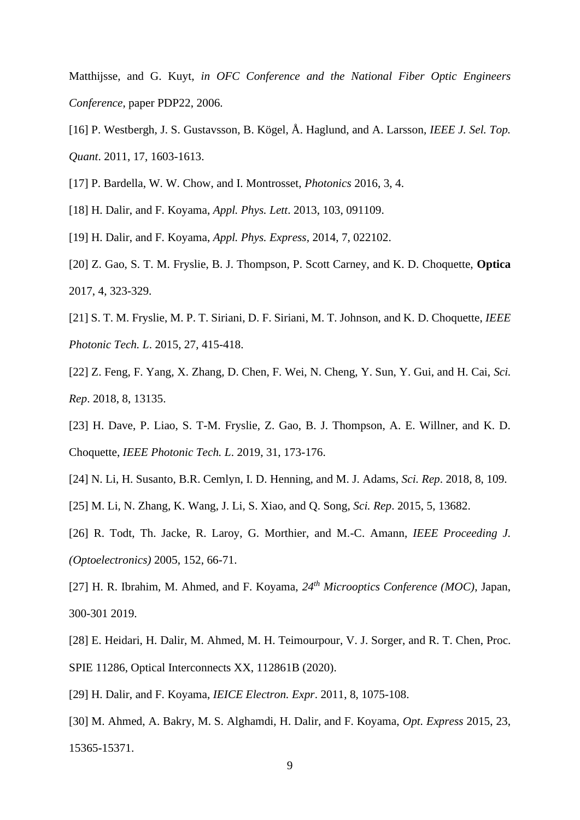Matthijsse, and G. Kuyt, *in OFC Conference and the National Fiber Optic Engineers Conference*, paper PDP22, 2006.

- [16] P. Westbergh, J. S. Gustavsson, B. Kögel, Å. Haglund, and A. Larsson, *IEEE J. Sel. Top. Quant*. 2011, 17, 1603-1613.
- [17] P. Bardella, W. W. Chow, and I. Montrosset, *Photonics* 2016, 3, 4.
- [18] H. Dalir, and F. Koyama, *Appl. Phys. Lett*. 2013, 103, 091109.
- [19] H. Dalir, and F. Koyama, *Appl. Phys. Express,* 2014, 7, 022102.
- [20] Z. Gao, S. T. M. Fryslie, B. J. Thompson, P. Scott Carney, and K. D. Choquette, **Optica** 2017, 4, 323-329.
- [21] S. T. M. Fryslie, M. P. T. Siriani, D. F. Siriani, M. T. Johnson, and K. D. Choquette, *IEEE Photonic Tech. L*. 2015, 27, 415-418.
- [22] Z. Feng, F. Yang, X. Zhang, D. Chen, F. Wei, N. Cheng, Y. Sun, Y. Gui, and H. Cai, *Sci. Rep*. 2018, 8, 13135.
- [23] H. Dave, P. Liao, S. T-M. Fryslie, Z. Gao, B. J. Thompson, A. E. Willner, and K. D. Choquette, *IEEE Photonic Tech. L*. 2019, 31, 173-176.
- [24] N. Li, H. Susanto, B.R. Cemlyn, I. D. Henning, and M. J. Adams, *Sci. Rep*. 2018, 8, 109.
- [25] M. Li, N. Zhang, K. Wang, J. Li, S. Xiao, and Q. Song, *Sci. Rep*. 2015, 5, 13682.
- [26] R. Todt, Th. Jacke, R. Laroy, G. Morthier, and M.-C. Amann, *IEEE Proceeding J. (Optoelectronics)* 2005, 152, 66-71.
- [27] H. R. Ibrahim, M. Ahmed, and F. Koyama, *24th Microoptics Conference (MOC)*, Japan, 300-301 2019.
- [28] E. Heidari, H. Dalir, M. Ahmed, M. H. Teimourpour, V. J. Sorger, and R. T. Chen, Proc. SPIE 11286, Optical Interconnects XX, 112861B (2020).
- [29] H. Dalir, and F. Koyama, *IEICE Electron. Expr*. 2011, 8, 1075-108.
- [30] M. Ahmed, A. Bakry, M. S. Alghamdi, H. Dalir, and F. Koyama, *Opt. Express* 2015, 23, 15365-15371.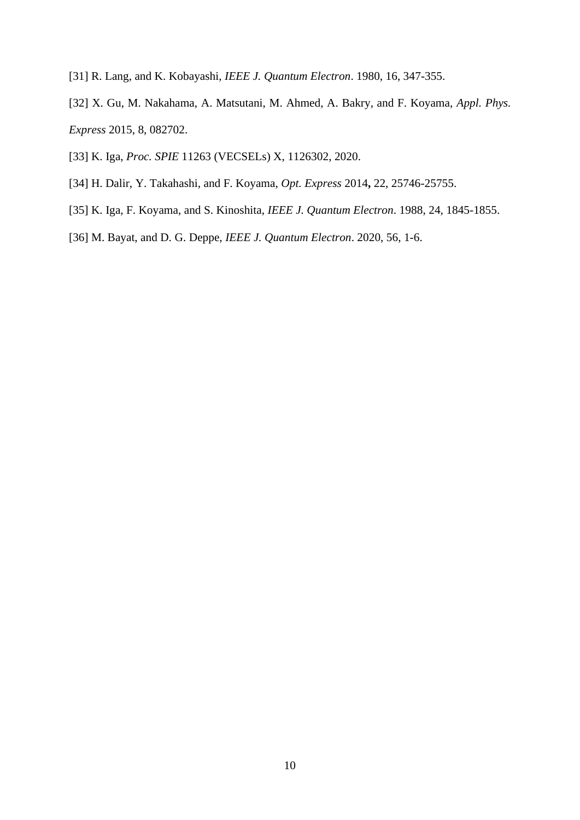- [31] R. Lang, and K. Kobayashi, *IEEE J. Quantum Electron*. 1980, 16, 347-355.
- [32] X. Gu, M. Nakahama, A. Matsutani, M. Ahmed, A. Bakry, and F. Koyama, *Appl. Phys. Express* 2015, 8, 082702.
- [33] K. Iga, *Proc. SPIE* 11263 (VECSELs) X, 1126302, 2020.
- [34] H. Dalir, Y. Takahashi, and F. Koyama, *Opt. Express* 2014**,** 22, 25746-25755.
- [35] K. Iga, F. Koyama, and S. Kinoshita, *IEEE J. Quantum Electron*. 1988, 24, 1845-1855.
- [36] M. Bayat, and D. G. Deppe, *IEEE J. Quantum Electron*. 2020, 56, 1-6.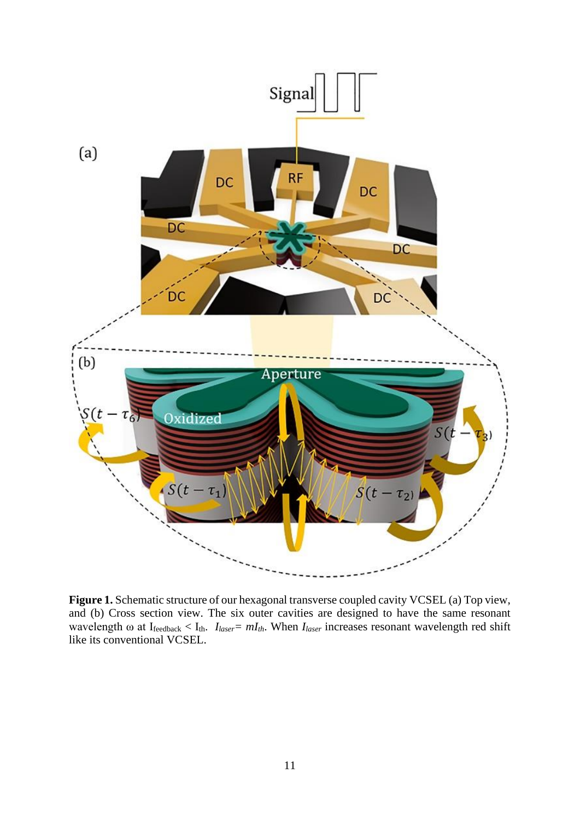

**Figure 1.** Schematic structure of our hexagonal transverse coupled cavity VCSEL (a) Top view, and (b) Cross section view. The six outer cavities are designed to have the same resonant wavelength ω at Ifeedback < Ith. *Ilaser= mIth*. When *Ilaser* increases resonant wavelength red shift like its conventional VCSEL.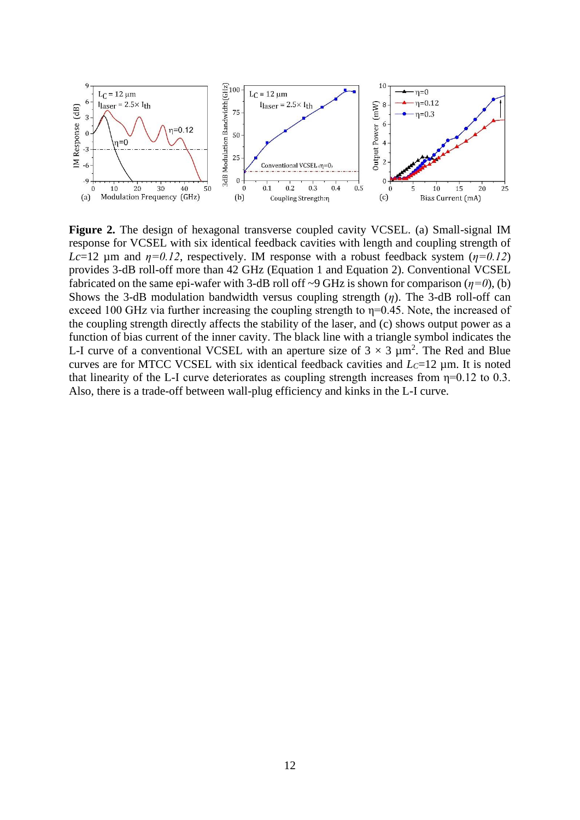

**Figure 2.** The design of hexagonal transverse coupled cavity VCSEL. (a) Small-signal IM response for VCSEL with six identical feedback cavities with length and coupling strength of *Lc*=12  $\mu$ m and  $\eta$ =0.12, respectively. IM response with a robust feedback system ( $\eta$ =0.12) provides 3-dB roll-off more than 42 GHz (Equation 1 and Equation 2). Conventional VCSEL fabricated on the same epi-wafer with 3-dB roll off ~9 GHz is shown for comparison  $(\eta=0)$ , (b) Shows the 3-dB modulation bandwidth versus coupling strength (*η*). The 3-dB roll-off can exceed 100 GHz via further increasing the coupling strength to η=0.45. Note, the increased of the coupling strength directly affects the stability of the laser, and (c) shows output power as a function of bias current of the inner cavity. The black line with a triangle symbol indicates the L-I curve of a conventional VCSEL with an aperture size of  $3 \times 3 \mu m^2$ . The Red and Blue curves are for MTCC VCSEL with six identical feedback cavities and *LC*=12 µm. It is noted that linearity of the L-I curve deteriorates as coupling strength increases from  $\eta$ =0.12 to 0.3. Also, there is a trade-off between wall-plug efficiency and kinks in the L-I curve.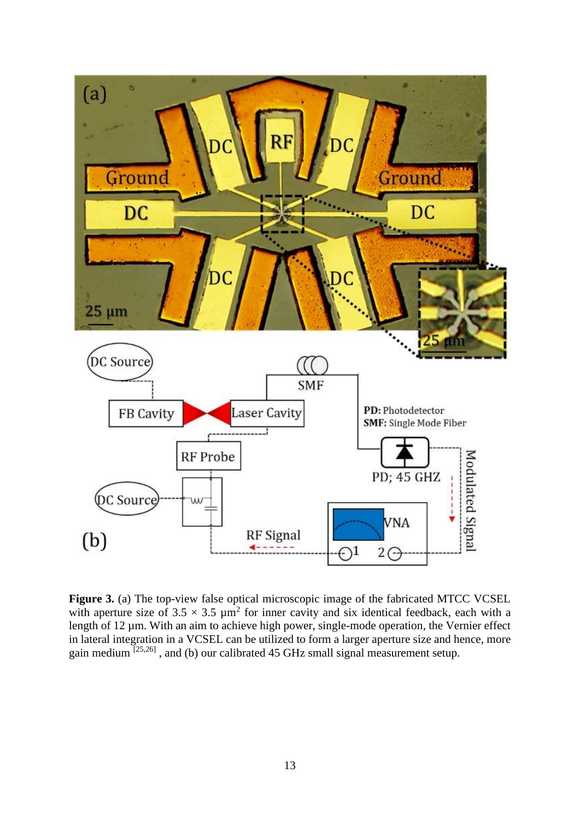

Figure 3. (a) The top-view false optical microscopic image of the fabricated MTCC VCSEL with aperture size of  $3.5 \times 3.5 \mu m^2$  for inner cavity and six identical feedback, each with a length of 12 um. With an aim to achieve high power, single-mode operation, the Vernier effect in lateral integration in a VCSEL can be utilized to form a larger aperture size and hence, more gain medium  $^{[25,26]}$ , and (b) our calibrated 45 GHz small signal measurement setup.